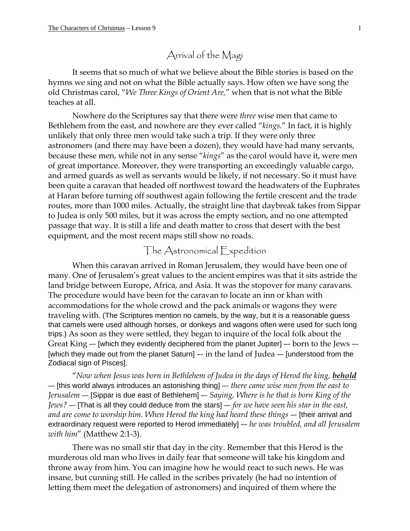## Arrival of the Magi

It seems that so much of what we believe about the Bible stories is based on the hymns we sing and not on what the Bible actually says. How often we have song the old Christmas carol, "*We Three Kings of Orient Are,*" when that is not what the Bible teaches at all.

Nowhere do the Scriptures say that there were *three* wise men that came to Bethlehem from the east, and nowhere are they ever called "*kings*." In fact, it is highly unlikely that only three men would take such a trip. If they were only three astronomers (and there may have been a dozen), they would have had many servants, because these men, while not in any sense "*kings*" as the carol would have it, were men of great importance. Moreover, they were transporting an exceedingly valuable cargo, and armed guards as well as servants would be likely, if not necessary. So it must have been quite a caravan that headed off northwest toward the headwaters of the Euphrates at Haran before turning off southwest again following the fertile crescent and the trade routes, more than 1000 miles. Actually, the straight line that daybreak takes from Sippar to Judea is only 500 miles, but it was across the empty section, and no one attempted passage that way. It is still a life and death matter to cross that desert with the best equipment, and the most recent maps still show no roads.

## The Astronomical Expedition

When this caravan arrived in Roman Jerusalem, they would have been one of many. One of Jerusalem's great values to the ancient empires was that it sits astride the land bridge between Europe, Africa, and Asia. It was the stopover for many caravans. The procedure would have been for the caravan to locate an inn or khan with accommodations for the whole crowd and the pack animals or wagons they were traveling with. (The Scriptures mention no camels, by the way, but it is a reasonable guess that camels were used although horses, or donkeys and wagons often were used for such long trips.) As soon as they were settled, they began to inquire of the local folk about the Great King –- [which they evidently deciphered from the planet Jupiter] –- born to the Jews –- [which they made out from the planet Saturn] -- in the land of Judea -- [understood from the Zodiacal sign of Pisces].

"*Now when Jesus was born in Bethlehem of Judea in the days of Herod the king, behold* –- [this world always introduces an astonishing thing] –- *there came wise men from the east to Jerusalem* –- [Sippar is due east of Bethlehem] –- *Saying, Where is he that is born King of the Jews?* –- [That is all they could deduce from the stars] –- *for we have seen his star in the east, and are come to worship him. When Herod the king had heard these things* –- [their arrival and extraordinary request were reported to Herod immediately] –- *he was troubled, and all Jerusalem with him*" (Matthew 2:1-3).

There was no small stir that day in the city. Remember that this Herod is the murderous old man who lives in daily fear that someone will take his kingdom and throne away from him. You can imagine how he would react to such news. He was insane, but cunning still. He called in the scribes privately (he had no intention of letting them meet the delegation of astronomers) and inquired of them where the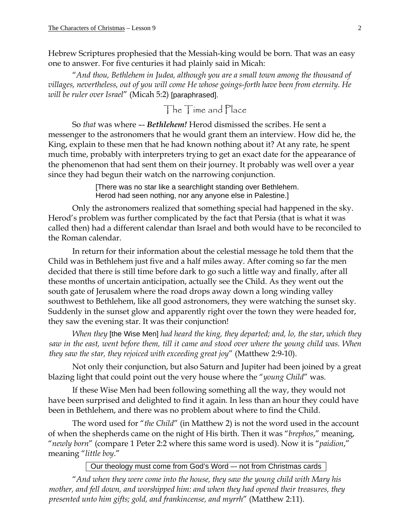Hebrew Scriptures prophesied that the Messiah-king would be born. That was an easy one to answer. For five centuries it had plainly said in Micah:

"*And thou, Bethlehem in Judea, although you are a small town among the thousand of villages, nevertheless, out of you will come He whose goings-forth have been from eternity. He will be ruler over Israel*" (Micah 5:2) [paraphrased].

The Time and Place

So *that* was where –- *Bethlehem!* Herod dismissed the scribes. He sent a messenger to the astronomers that he would grant them an interview. How did he, the King, explain to these men that he had known nothing about it? At any rate, he spent much time, probably with interpreters trying to get an exact date for the appearance of the phenomenon that had sent them on their journey. It probably was well over a year since they had begun their watch on the narrowing conjunction.

> [There was no star like a searchlight standing over Bethlehem. Herod had seen nothing, nor any anyone else in Palestine.]

Only the astronomers realized that something special had happened in the sky. Herod's problem was further complicated by the fact that Persia (that is what it was called then) had a different calendar than Israel and both would have to be reconciled to the Roman calendar.

In return for their information about the celestial message he told them that the Child was in Bethlehem just five and a half miles away. After coming so far the men decided that there is still time before dark to go such a little way and finally, after all these months of uncertain anticipation, actually see the Child. As they went out the south gate of Jerusalem where the road drops away down a long winding valley southwest to Bethlehem, like all good astronomers, they were watching the sunset sky. Suddenly in the sunset glow and apparently right over the town they were headed for, they saw the evening star. It was their conjunction!

*When they* [the Wise Men] *had heard the king, they departed; and, lo, the star*, *which they saw in the east, went before them, till it came and stood over where the young child was. When they saw the star, they rejoiced with exceeding great joy*" (Matthew 2:9-10).

Not only their conjunction, but also Saturn and Jupiter had been joined by a great blazing light that could point out the very house where the "*young Child*" was.

If these Wise Men had been following something all the way, they would not have been surprised and delighted to find it again. In less than an hour they could have been in Bethlehem, and there was no problem about where to find the Child.

The word used for "*the Child*" (in Matthew 2) is not the word used in the account of when the shepherds came on the night of His birth. Then it was "*brephos*," meaning, "*newly born*" (compare 1 Peter 2:2 where this same word is used). Now it is "*paidion*," meaning "*little boy*."

Our theology must come from God's Word –- not from Christmas cards

"*And when they were come into the house, they saw the young child with Mary his mother, and fell down, and worshipped him: and when they had opened their treasures, they presented unto him gifts; gold, and frankincense, and myrrh*" (Matthew 2:11).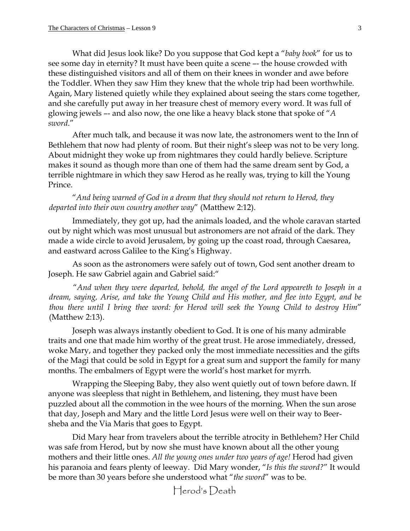What did Jesus look like? Do you suppose that God kept a "*baby book*" for us to see some day in eternity? It must have been quite a scene –- the house crowded with these distinguished visitors and all of them on their knees in wonder and awe before the Toddler. When they saw Him they knew that the whole trip had been worthwhile. Again, Mary listened quietly while they explained about seeing the stars come together, and she carefully put away in her treasure chest of memory every word. It was full of glowing jewels –- and also now, the one like a heavy black stone that spoke of "*A sword*."

After much talk, and because it was now late, the astronomers went to the Inn of Bethlehem that now had plenty of room. But their night's sleep was not to be very long. About midnight they woke up from nightmares they could hardly believe. Scripture makes it sound as though more than one of them had the same dream sent by God, a terrible nightmare in which they saw Herod as he really was, trying to kill the Young Prince.

"*And being warned of God in a dream that they should not return to Herod, they departed into their own country another way*" (Matthew 2:12).

Immediately, they got up, had the animals loaded, and the whole caravan started out by night which was most unusual but astronomers are not afraid of the dark. They made a wide circle to avoid Jerusalem, by going up the coast road, through Caesarea, and eastward across Galilee to the King's Highway.

As soon as the astronomers were safely out of town, God sent another dream to Joseph. He saw Gabriel again and Gabriel said:"

"*And when they were departed, behold, the angel of the Lord appeareth to Joseph in a dream, saying, Arise, and take the Young Child and His mother, and flee into Egypt, and be thou there until I bring thee word: for Herod will seek the Young Child to destroy Him*" (Matthew 2:13).

Joseph was always instantly obedient to God. It is one of his many admirable traits and one that made him worthy of the great trust. He arose immediately, dressed, woke Mary, and together they packed only the most immediate necessities and the gifts of the Magi that could be sold in Egypt for a great sum and support the family for many months. The embalmers of Egypt were the world's host market for myrrh.

Wrapping the Sleeping Baby, they also went quietly out of town before dawn. If anyone was sleepless that night in Bethlehem, and listening, they must have been puzzled about all the commotion in the wee hours of the morning. When the sun arose that day, Joseph and Mary and the little Lord Jesus were well on their way to Beersheba and the Via Maris that goes to Egypt.

Did Mary hear from travelers about the terrible atrocity in Bethlehem? Her Child was safe from Herod, but by now she must have known about all the other young mothers and their little ones. *All the young ones under two years of age!* Herod had given his paranoia and fears plenty of leeway. Did Mary wonder, "*Is this the sword?*" It would be more than 30 years before she understood what "*the sword*" was to be.

Herod's Death